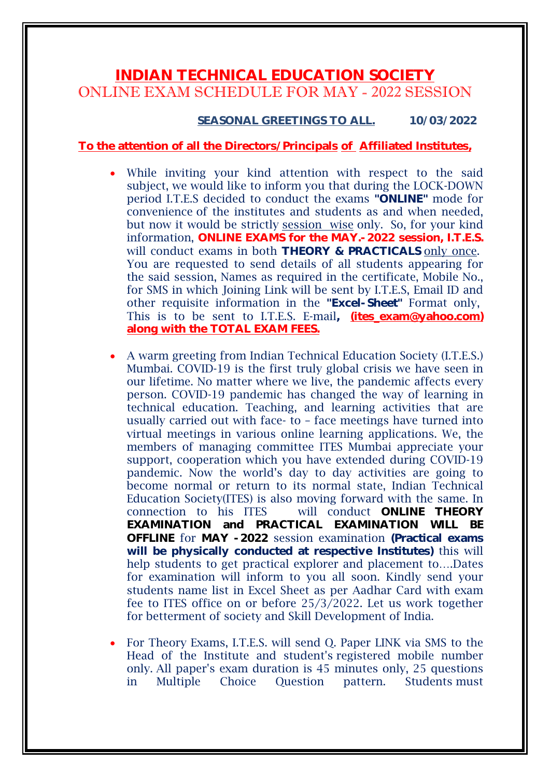## **INDIAN TECHNICAL EDUCATION SOCIETY** ONLINE EXAM SCHEDULE FOR MAY - 2022 SESSION

## **SEASONAL GREETINGS TO ALL. 10/03/2022**

## **To the attention of all the Directors/Principals of Affiliated Institutes,**

- While inviting your kind attention with respect to the said subject, we would like to inform you that during the LOCK-DOWN period I.T.E.S decided to conduct the exams **"ONLINE"** mode for convenience of the institutes and students as and when needed, but now it would be strictly session wise only. So, for your kind information, **ONLINE EXAMS for the MAY.-2022 session, I.T.E.S.** will conduct exams in both **THEORY & PRACTICALS** only once. You are requested to send details of all students appearing for the said session, Names as required in the certificate, Mobile No., for SMS in which Joining Link will be sent by I.T.E.S, Email ID and other requisite information in the **"Excel-Sheet"** Format only, This is to be sent to I.T.E.S. E-mail, **(ites exam@yahoo.com) along with the TOTAL EXAM FEES.**
- A warm greeting from Indian Technical Education Society (I.T.E.S.) Mumbai. COVID-19 is the first truly global crisis we have seen in our lifetime. No matter where we live, the pandemic affects every person. COVID-19 pandemic has changed the way of learning in technical education. Teaching, and learning activities that are usually carried out with face- to – face meetings have turned into virtual meetings in various online learning applications. We, the members of managing committee ITES Mumbai appreciate your support, cooperation which you have extended during COVID-19 pandemic. Now the world's day to day activities are going to become normal or return to its normal state, Indian Technical Education Society(ITES) is also moving forward with the same. In connection to his ITES will conduct **ONLINE THEORY EXAMINATION and PRACTICAL EXAMINATION WILL BE OFFLINE** for **MAY -2022** session examination **(Practical exams will be physically conducted at respective Institutes)** this will help students to get practical explorer and placement to….Dates for examination will inform to you all soon. Kindly send your students name list in Excel Sheet as per Aadhar Card with exam fee to ITES office on or before 25/3/2022. Let us work together for betterment of society and Skill Development of India.
- For Theory Exams, I.T.E.S. will send Q. Paper LINK via SMS to the Head of the Institute and student's registered mobile number only. All paper's exam duration is 45 minutes only, 25 questions in Multiple Choice Question pattern. Students must